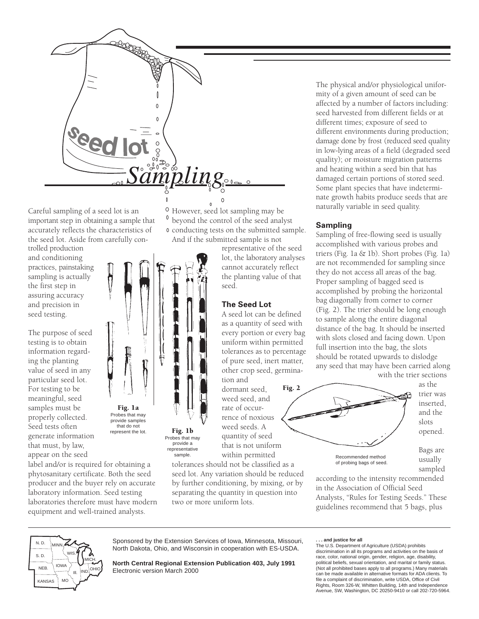

Careful sampling of a seed lot is an important step in obtaining a sample that accurately reflects the characteristics of the seed lot. Aside from carefully con-

trolled production and conditioning practices, painstaking sampling is actually the first step in assuring accuracy and precision in seed testing.

The purpose of seed testing is to obtain information regarding the planting value of seed in any particular seed lot. For testing to be meaningful, seed samples must be properly collected. Seed tests often generate information that must, by law, appear on the seed

label and/or is required for obtaining a phytosanitary certificate. Both the seed producer and the buyer rely on accurate laboratory information. Seed testing laboratories therefore must have modern equipment and well-trained analysts.

Fig. 1a Probes that may provide samples that do not

represent the lot. Fig. 1b

Probes that may provide a representative sample.

 $\circ$ However, seed lot sampling may be beyond the control of the seed analyst conducting tests on the submitted sample. And if the submitted sample is not

representative of the seed lot, the laboratory analyses cannot accurately reflect the planting value of that seed.

## **The Seed Lot**

A seed lot can be defined as a quantity of seed with every portion or every bag uniform within permitted tolerances as to percentage of pure seed, inert matter, other crop seed, germination and

dormant seed, weed seed, and rate of occurrence of noxious weed seeds. A quantity of seed that is not uniform

tolerances should not be classified as a seed lot. Any variation should be reduced by further conditioning, by mixing, or by separating the quantity in question into two or more uniform lots.

The physical and/or physiological uniformity of a given amount of seed can be affected by a number of factors including: seed harvested from different fields or at different times; exposure of seed to different environments during production; damage done by frost (reduced seed quality in low-lying areas of a field (degraded seed quality); or moisture migration patterns and heating within a seed bin that has damaged certain portions of stored seed. Some plant species that have indeterminate growth habits produce seeds that are naturally variable in seed quality.

## **Sampling**

Sampling of free-flowing seed is usually accomplished with various probes and triers (Fig. 1a & 1b). Short probes (Fig. 1a) are not recommended for sampling since they do not access all areas of the bag. Proper sampling of bagged seed is accomplished by probing the horizontal bag diagonally from corner to corner (Fig.␣ 2). The trier should be long enough to sample along the entire diagonal distance of the bag. It should be inserted with slots closed and facing down. Upon full insertion into the bag, the slots should be rotated upwards to dislodge any seed that may have been carried along with the trier sections



according to the intensity recommended in the Association of Official Seed Analysts, "Rules for Testing Seeds." These guidelines recommend that 5 bags, plus



Sponsored by the Extension Services of Iowa, Minnesota, Missouri, North Dakota, Ohio, and Wisconsin in cooperation with ES-USDA.

**North Central Regional Extension Publication 403, July 1991** Electronic version March 2000

## **. . . and justice for all**

The U.S. Department of Agriculture (USDA) prohibits discrimination in all its programs and activities on the basis of race, color, national origin, gender, religion, age, disability, political beliefs, sexual orientation, and marital or family status. (Not all prohibited bases apply to all programs.) Many materials can be made available in alternative formats for ADA clients. To file a complaint of discrimination, write USDA, Office of Civil Rights, Room 326-W, Whitten Building, 14th and Independence Avenue, SW, Washington, DC 20250-9410 or call 202-720-5964.